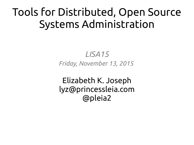### Tools for Distributed, Open Source Systems Administration

*LISA15 Friday, November 13, 2015*

Elizabeth K. Joseph lyz@princessleia.com @pleia2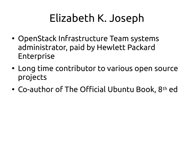### Elizabeth K. Joseph

- OpenStack Infrastructure Team systems administrator, paid by Hewlett Packard Enterprise
- Long time contributor to various open source projects
- Co-author of The Official Ubuntu Book, 8<sup>th</sup> ed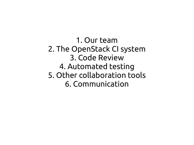1. Our team 2. The OpenStack CI system 3. Code Review 4. Automated testing 5. Other collaboration tools 6. Communication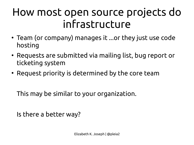### How most open source projects do infrastructure

- Team (or company) manages it ...or they just use code hosting
- Requests are submitted via mailing list, bug report or ticketing system
- Request priority is determined by the core team

This may be similar to your organization.

Is there a better way?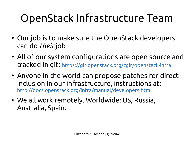# OpenStack Infrastructure Team

- Our job is to make sure the OpenStack developers can do *their* job
- All of our system configurations are open source and tracked in git: <https://git.openstack.org/cgit/openstack-infra>
- Anyone in the world can propose patches for direct inclusion in our infrastructure, instructions at: <http://docs.openstack.org/infra/manual/developers.html>
- We all work remotely. Worldwide: US, Russia, Australia, Spain.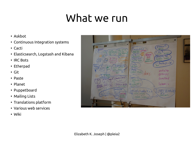### What we run

- Askbot
- Continuous Integration systems
- Cacti
- Elasticsearch, Logstash and Kibana
- IRC Bots
- Etherpad
- Git
- Paste
- Planet
- Puppetboard
- Mailing Lists
- Translations platform
- Various web services
- Wiki

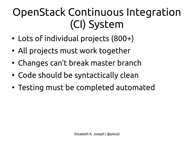# OpenStack Continuous Integration (CI) System

- Lots of individual projects (800+)
- All projects must work together
- Changes can't break master branch
- Code should be syntactically clean
- Testing must be completed automated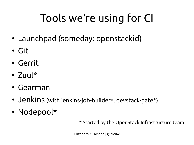# Tools we're using for CI

- Launchpad (someday: openstackid)
- Git
- Gerrit
- $\bullet$  7 $\parallel$ u $\parallel$ \*
- $\cdot$  Gearman
- Jenkins (with jenkins-job-builder\*, devstack-gate\*)
- Nodepool\*

\* Started by the OpenStack Infrastructure team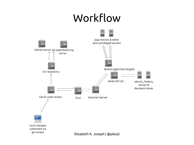#### Workflow

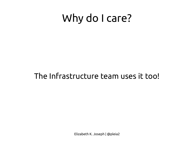### Why do I care?

#### The Infrastructure team uses it too!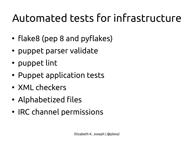# Automated tests for infrastructure

- flake8 (pep 8 and pyflakes)
- puppet parser validate
- puppet lint
- Puppet application tests
- XML checkers
- Alphabetized files
- IRC channel permissions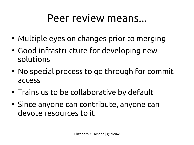#### Peer review means...

- Multiple eyes on changes prior to merging
- Good infrastructure for developing new solutions
- No special process to go through for commit access
- Trains us to be collaborative by default
- Since anyone can contribute, anyone can devote resources to it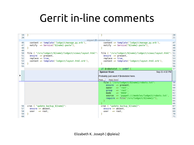### Gerrit in-line comments

|   | 19       |                                                           |                                                           | 20       |  |  |  |  |  |
|---|----------|-----------------------------------------------------------|-----------------------------------------------------------|----------|--|--|--|--|--|
|   | 20       |                                                           |                                                           | 21       |  |  |  |  |  |
|   |          | skipped 25 common lines                                   |                                                           |          |  |  |  |  |  |
|   | 46       | content => template('lodgeit/manage.py.erb')              | content => template('lodgeit/manage.py.erb'),             | 47       |  |  |  |  |  |
|   | 47       | notify => Service["\${name}-paste"],                      | notify => Service["\${name}-paste"],                      | 48       |  |  |  |  |  |
|   | 48       |                                                           |                                                           | 49       |  |  |  |  |  |
|   | 49       |                                                           |                                                           | 50       |  |  |  |  |  |
|   | 50       | file { "/srv/lodgeit/\${name}/lodgeit/views/layout.html": | file { "/srv/lodgeit/\${name}/lodgeit/views/layout.html": | 51       |  |  |  |  |  |
|   | 51       | $ensure \Rightarrow present,$                             | $ensure \Rightarrow present,$                             | 52       |  |  |  |  |  |
|   | 52       | $replace \Rightarrow true,$                               | $replace \Rightarrow true,$                               | 53       |  |  |  |  |  |
|   | 53       | content => template('lodgeit/layout.html.erb'),           | content => template('lodgeit/layout.html.erb'),           | 54       |  |  |  |  |  |
|   | 54       |                                                           |                                                           | 55       |  |  |  |  |  |
|   | 55       |                                                           |                                                           | 56       |  |  |  |  |  |
|   |          |                                                           | if \$robotstxt $!=$ undef                                 | 57       |  |  |  |  |  |
|   |          |                                                           | Sep 21 4:32 PM<br><b>Spencer Krum</b>                     |          |  |  |  |  |  |
|   |          |                                                           |                                                           |          |  |  |  |  |  |
| ٠ |          |                                                           | Probably just want if \$robotstxt here.                   |          |  |  |  |  |  |
|   |          |                                                           | Reply 'Done'<br>Reply                                     |          |  |  |  |  |  |
|   |          |                                                           | file { "/srv/lodgeit/\${name}/robots.txt":                | 58       |  |  |  |  |  |
|   |          |                                                           | $ensure =$ present,                                       | 59       |  |  |  |  |  |
|   |          |                                                           | $\Rightarrow$ 'root',<br>owner                            | 60       |  |  |  |  |  |
|   |          |                                                           | $\Rightarrow$ 'root',<br>group                            | 61       |  |  |  |  |  |
|   |          |                                                           | $\Rightarrow$ '0444',<br>mode                             | 62       |  |  |  |  |  |
|   |          |                                                           | $source \implies 'puppet://modules/lodgeit/robots.txt',$  | 63       |  |  |  |  |  |
|   |          |                                                           | $require \Rightarrow File["/srv/lodgeit/\$(name]/"]$ ,    | 64       |  |  |  |  |  |
|   |          |                                                           |                                                           | 65       |  |  |  |  |  |
|   |          |                                                           |                                                           | 66       |  |  |  |  |  |
|   |          | cron { "update_backup_\${name}":                          | cron { "update_backup_\${name}":                          | 67       |  |  |  |  |  |
|   | 56       |                                                           |                                                           |          |  |  |  |  |  |
|   |          |                                                           |                                                           |          |  |  |  |  |  |
|   | 57       | $ensure =$ absent.                                        | $ensure =$ absent.                                        | 68       |  |  |  |  |  |
|   | 58       | $\Rightarrow$ root.<br>user                               | $\Rightarrow$ root.<br>user                               | 69       |  |  |  |  |  |
|   | 59<br>60 |                                                           |                                                           | 70<br>71 |  |  |  |  |  |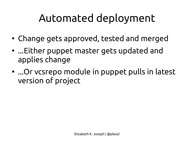### Automated deployment

- Change gets approved, tested and merged
- ...Either puppet master gets updated and applies change
- ...Or vcsrepo module in puppet pulls in latest version of project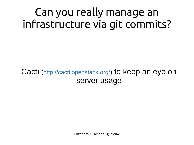### Can you really manage an infrastructure via git commits?

Cacti ([http://cacti.openstack.org/\)](http://cacti.openstack.org/) to keep an eye on server usage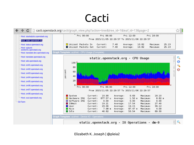### **Cacti**

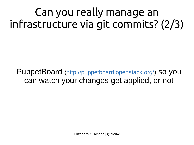Can you really manage an infrastructure via git commits? (2/3)

PuppetBoard ([http://puppetboard.openstack.org/\)](http://puppetboard.openstack.org/) so you can watch your changes get applied, or not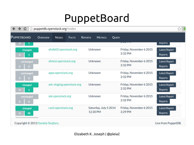#### PuppetBoard

| $\rightarrow$<br>Ċ                        | puppetdb.openstack.org/nodes |                       |                           |                |                                   |              |                                    |                                 | ☆ |
|-------------------------------------------|------------------------------|-----------------------|---------------------------|----------------|-----------------------------------|--------------|------------------------------------|---------------------------------|---|
| PUPPETBOARD                               | <b>OVERVIEW</b>              | <b>NODES</b>          | <b>FACTS</b>              | <b>REPORTS</b> | <b>METRICS</b>                    | <b>QUERY</b> |                                    |                                 |   |
|                                           |                              |                       |                           |                |                                   |              | <del>ANG 1999</del>                | <b>Keports</b>                  |   |
| changed<br>1<br>0                         |                              | afsdb02.openstack.org |                           |                | <b>Unknown</b>                    |              | Friday, November 6 2015<br>2:32 PM | Latest Report<br>Reports        |   |
| unchanged<br>$\Omega$<br>0.               |                              | afstest.openstack.org |                           |                | <b>Unknown</b>                    |              | Friday, November 6 2015<br>2:32 PM | Latest Report<br>Reports        |   |
| unchanged<br>0<br>0.                      |                              | apps.openstack.org    |                           |                | <b>Unknown</b>                    |              | Friday, November 6 2015<br>2:32 PM | Latest Report<br><b>Reports</b> |   |
| changed<br>$\mathbf{1}$<br>0              |                              |                       | ask-staging.openstack.org |                | <b>Unknown</b>                    |              | Friday, November 6 2015<br>2:32 PM | Latest Report<br>Reports        |   |
| unchanged<br>$\mathbf{0}$<br>$\mathbf{O}$ |                              | ask.openstack.org     |                           |                | <b>Unknown</b>                    |              | Friday, November 6 2015<br>2:32 PM | Latest Report<br>Reports        |   |
| changed<br>98<br>0                        |                              | cacti.openstack.org   |                           |                | Saturday, July 5 2014<br>12:20 PM |              | Friday, November 6 2015<br>2:29 PM | Latest Report<br>Reports        |   |
| Copyright © 2013 Daniele Sluijters.       |                              |                       |                           |                |                                   |              |                                    | Live from PuppetDB.             |   |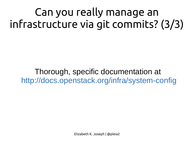Can you really manage an infrastructure via git commits? (3/3)

Thorough, specific documentation at <http://docs.openstack.org/infra/system-config>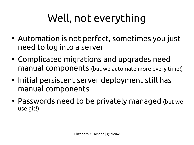# Well, not everything

- Automation is not perfect, sometimes you just need to log into a server
- Complicated migrations and upgrades need manual components (but we automate more every time!)
- Initial persistent server deployment still has manual components
- Passwords need to be privately managed (but we use git!)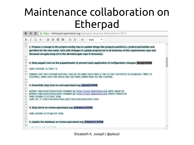#### Maintenance collaboration on Etherpad

|          | Ċ<br>nttps://etherpad.openstack.org/p/project-renames-November-6-2015                                                                                                          |  |  |  |  |  |  |  |
|----------|--------------------------------------------------------------------------------------------------------------------------------------------------------------------------------|--|--|--|--|--|--|--|
| B        | 這<br>응<br>$\underline{\mathtt{U}}$<br>$\equiv$<br>挂<br>c<br>信<br>Ι<br>c<br>Ø<br>Style<br>7                                                                                     |  |  |  |  |  |  |  |
| 35       |                                                                                                                                                                                |  |  |  |  |  |  |  |
| 36       | 1. Prepare a change to the project-config repo to update things like projects.yaml/ACLs, jenkins-job-builder and                                                               |  |  |  |  |  |  |  |
|          | gerritbot for the new name. Also add changes to update projects.txt in all branches of the requirements repo and                                                               |  |  |  |  |  |  |  |
|          | devstack-vm-gate-wrap.sh in the devstack-gate repo if necessary.                                                                                                               |  |  |  |  |  |  |  |
| 37       |                                                                                                                                                                                |  |  |  |  |  |  |  |
| 38       |                                                                                                                                                                                |  |  |  |  |  |  |  |
| 39       | 2. Stop puppet runs on the puppetmaster to prevent early application of configuration changes: [fungi] DONE                                                                    |  |  |  |  |  |  |  |
| 40<br>41 | sudo crontab -u root -e                                                                                                                                                        |  |  |  |  |  |  |  |
| 42       |                                                                                                                                                                                |  |  |  |  |  |  |  |
| 43       | Comment out the crontab entries. Use ps to make sure that a run is not currently in progress. When it<br>finishes, make sure the entry has not been added back to the crontab. |  |  |  |  |  |  |  |
| 44       |                                                                                                                                                                                |  |  |  |  |  |  |  |
| 45       |                                                                                                                                                                                |  |  |  |  |  |  |  |
| 46<br>47 | 3. Gracefully stop Zuul on zuul.openstack.org: [pleia2] DONE                                                                                                                   |  |  |  |  |  |  |  |
| 48       | python /opt/zuul/tools/zuul-changes.py http://zuul.openstack.org gate >gate.sh                                                                                                 |  |  |  |  |  |  |  |
| 49       | python /opt/zuul/tools/zuul-changes.py http://zuul.openstack.org check >check.sh                                                                                               |  |  |  |  |  |  |  |
| 50<br>51 | sudo invoke-rc.d zuul stop<br>sudo rm -f /var/run/zuul/zuul.pid /var/run/zuul/zuul.lock                                                                                        |  |  |  |  |  |  |  |
| 52       |                                                                                                                                                                                |  |  |  |  |  |  |  |
| 53       |                                                                                                                                                                                |  |  |  |  |  |  |  |
| 54       | 4. Stop Gerrit on review.openstack.org: [nibalizer] DONE                                                                                                                       |  |  |  |  |  |  |  |
| 55       |                                                                                                                                                                                |  |  |  |  |  |  |  |
| 56<br>57 | sudo invoke-rc.d gerrit stop                                                                                                                                                   |  |  |  |  |  |  |  |
| 58       |                                                                                                                                                                                |  |  |  |  |  |  |  |
| 59       | 5. Update the database on review.openstack.org: [nibalizer] DONE                                                                                                               |  |  |  |  |  |  |  |
| 60       |                                                                                                                                                                                |  |  |  |  |  |  |  |
|          |                                                                                                                                                                                |  |  |  |  |  |  |  |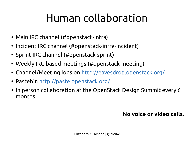# Human collaboration

- Main IRC channel (#openstack-infra)
- Incident IRC channel (#openstack-infra-incident)
- Sprint IRC channel (#openstack-sprint)
- Weekly IRC-based meetings (#openstack-meeting)
- Channel/Meeting logs on <http://eavesdrop.openstack.org/>
- Pastebin <http://paste.openstack.org/>
- In person collaboration at the OpenStack Design Summit every 6 months

#### **No voice or video calls.**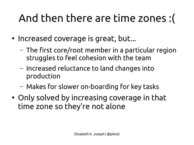# And then there are time zones :(

- Increased coverage is great, but...
	- The first core/root member in a particular region struggles to feel cohesion with the team
	- Increased reluctance to land changes into production
	- Makes for slower on-boarding for key tasks
- Only solved by increasing coverage in that time zone so they're not alone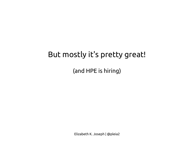#### But mostly it's pretty great!

(and HPE is hiring)